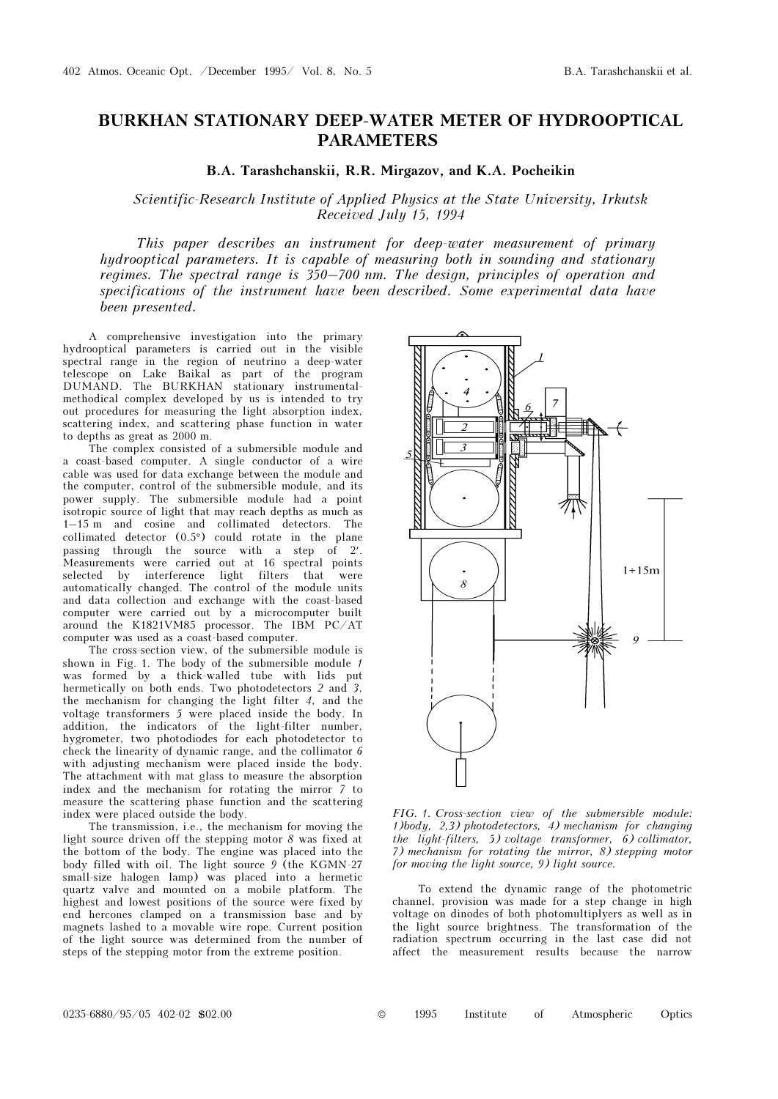## BURKHAN STATIONARY DEEP-WATER METER OF HYDROOPTICAL PARAMETERS

B.A. Tarashchanskii, R.R. Mirgazov, and K.A. Pocheikin

## Scientific-Research Institute of Applied Physics at the State University, Irkutsk Received July 15, 1994

This paper describes an instrument for deep-water measurement of primary hydrooptical parameters. It is capable of measuring both in sounding and stationary regimes. The spectral range is 350–700 nm. The design, principles of operation and specifications of the instrument have been described. Some experimental data have been presented.

A comprehensive investigation into the primary hydrooptical parameters is carried out in the visible spectral range in the region of neutrino a deep-water telescope on Lake Baikal as part of the program DUMAND. The BURKHAN stationary instrumentalmethodical complex developed by us is intended to try out procedures for measuring the light absorption index, scattering index, and scattering phase function in water to depths as great as 2000 m.

The complex consisted of a submersible module and a coast-based computer. A single conductor of a wire cable was used for data exchange between the module and the computer, control of the submersible module, and its power supply. The submersible module had a point isotropic source of light that may reach depths as much as 1–15 m and cosine and collimated detectors. The collimated detector (0.5°) could rotate in the plane passing through the source with a step of 2′. Measurements were carried out at 16 spectral points selected by interference light filters that were automatically changed. The control of the module units and data collection and exchange with the coast-based computer were carried out by a microcomputer built around the K1821VM85 processor. The IBM PC/AT computer was used as a coast-based computer.

The cross-section view, of the submersible module is shown in Fig. 1. The body of the submersible module 1 was formed by a thick-walled tube with lids put hermetically on both ends. Two photodetectors 2 and 3, the mechanism for changing the light filter 4, and the voltage transformers 5 were placed inside the body. In addition, the indicators of the light-filter number, hygrometer, two photodiodes for each photodetector to check the linearity of dynamic range, and the collimator 6 with adjusting mechanism were placed inside the body. The attachment with mat glass to measure the absorption index and the mechanism for rotating the mirror 7 to measure the scattering phase function and the scattering index were placed outside the body.

The transmission, i.e., the mechanism for moving the light source driven off the stepping motor 8 was fixed at the bottom of the body. The engine was placed into the body filled with oil. The light source 9 (the KGMN-27 small-size halogen lamp) was placed into a hermetic quartz valve and mounted on a mobile platform. The highest and lowest positions of the source were fixed by end hercones clamped on a transmission base and by magnets lashed to a movable wire rope. Current position of the light source was determined from the number of steps of the stepping motor from the extreme position.



FIG. 1. Cross-section view of the submersible module: 1)body, 2,3) photodetectors, 4) mechanism for changing the light-filters, 5) voltage transformer,  $6$ ) collimator, 7) mechanism for rotating the mirror, 8) stepping motor for moving the light source, 9) light source.

To extend the dynamic range of the photometric channel, provision was made for a step change in high voltage on dinodes of both photomultiplyers as well as in the light source brightness. The transformation of the radiation spectrum occurring in the last case did not affect the measurement results because the narrow